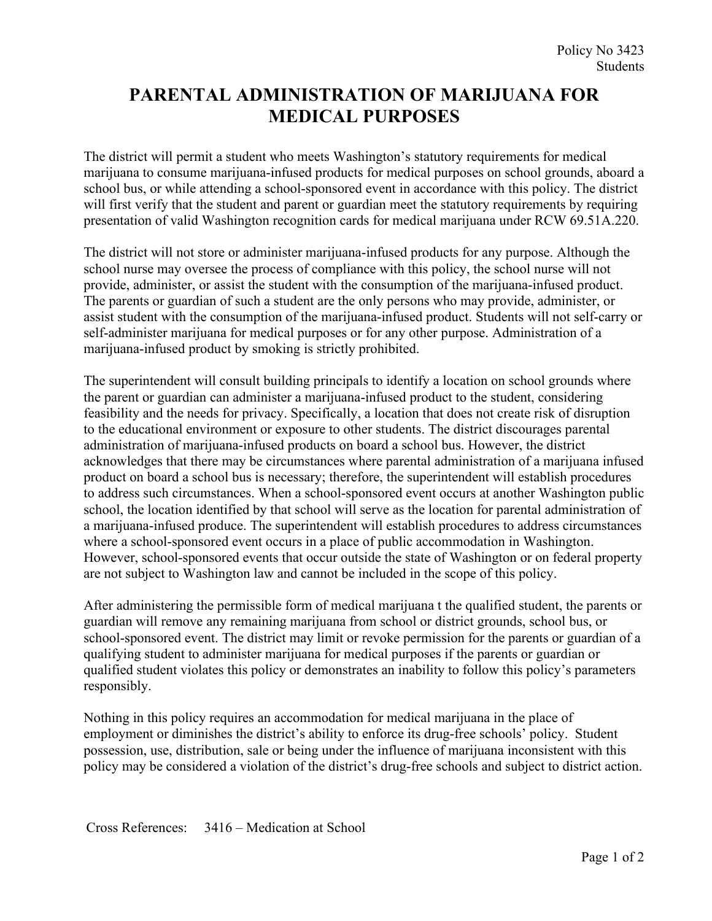## **PARENTAL ADMINISTRATION OF MARIJUANA FOR MEDICAL PURPOSES**

The district will permit a student who meets Washington's statutory requirements for medical marijuana to consume marijuana-infused products for medical purposes on school grounds, aboard a school bus, or while attending a school-sponsored event in accordance with this policy. The district will first verify that the student and parent or guardian meet the statutory requirements by requiring presentation of valid Washington recognition cards for medical marijuana under RCW 69.51A.220.

The district will not store or administer marijuana-infused products for any purpose. Although the school nurse may oversee the process of compliance with this policy, the school nurse will not provide, administer, or assist the student with the consumption of the marijuana-infused product. The parents or guardian of such a student are the only persons who may provide, administer, or assist student with the consumption of the marijuana-infused product. Students will not self-carry or self-administer marijuana for medical purposes or for any other purpose. Administration of a marijuana-infused product by smoking is strictly prohibited.

The superintendent will consult building principals to identify a location on school grounds where the parent or guardian can administer a marijuana-infused product to the student, considering feasibility and the needs for privacy. Specifically, a location that does not create risk of disruption to the educational environment or exposure to other students. The district discourages parental administration of marijuana-infused products on board a school bus. However, the district acknowledges that there may be circumstances where parental administration of a marijuana infused product on board a school bus is necessary; therefore, the superintendent will establish procedures to address such circumstances. When a school-sponsored event occurs at another Washington public school, the location identified by that school will serve as the location for parental administration of a marijuana-infused produce. The superintendent will establish procedures to address circumstances where a school-sponsored event occurs in a place of public accommodation in Washington. However, school-sponsored events that occur outside the state of Washington or on federal property are not subject to Washington law and cannot be included in the scope of this policy.

After administering the permissible form of medical marijuana t the qualified student, the parents or guardian will remove any remaining marijuana from school or district grounds, school bus, or school-sponsored event. The district may limit or revoke permission for the parents or guardian of a qualifying student to administer marijuana for medical purposes if the parents or guardian or qualified student violates this policy or demonstrates an inability to follow this policy's parameters responsibly.

Nothing in this policy requires an accommodation for medical marijuana in the place of employment or diminishes the district's ability to enforce its drug-free schools' policy. Student possession, use, distribution, sale or being under the influence of marijuana inconsistent with this policy may be considered a violation of the district's drug-free schools and subject to district action.